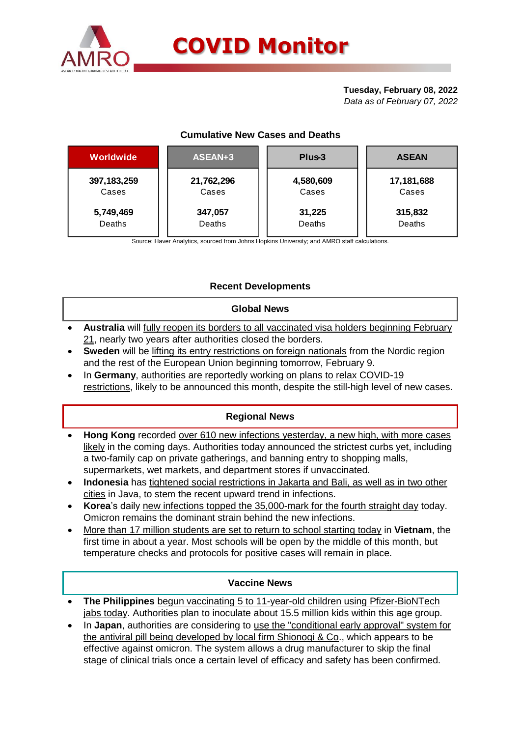

## **Tuesday, February 08, 2022**

*Data as of February 07, 2022*

# **Cumulative New Cases and Deaths**

| Worldwide     | ASEAN+3    | Plus-3    | <b>ASEAN</b> |  |  |
|---------------|------------|-----------|--------------|--|--|
| 397, 183, 259 | 21,762,296 | 4,580,609 | 17,181,688   |  |  |
| Cases         | Cases      | Cases     | Cases        |  |  |
| 5,749,469     | 347,057    | 31,225    | 315,832      |  |  |
| Deaths        | Deaths     | Deaths    | Deaths       |  |  |

Source: Haver Analytics, sourced from Johns Hopkins University; and AMRO staff calculations.

# **Recent Developments**

## **Global News**

- **Australia** will fully reopen its borders to all vaccinated visa holders beginning February 21, nearly two years after authorities closed the borders.
- **Sweden** will be lifting its entry restrictions on foreign nationals from the Nordic region and the rest of the European Union beginning tomorrow, February 9.
- In **Germany**, authorities are reportedly working on plans to relax COVID-19 restrictions, likely to be announced this month, despite the still-high level of new cases.

# **Regional News**

- **Hong Kong** recorded over 610 new infections yesterday, a new high, with more cases likely in the coming days. Authorities today announced the strictest curbs yet, including a two-family cap on private gatherings, and banning entry to shopping malls, supermarkets, wet markets, and department stores if unvaccinated.
- **Indonesia** has tightened social restrictions in Jakarta and Bali, as well as in two other cities in Java, to stem the recent upward trend in infections.
- **Korea**'s daily new infections topped the 35,000-mark for the fourth straight day today. Omicron remains the dominant strain behind the new infections.
- More than 17 million students are set to return to school starting today in **Vietnam**, the first time in about a year. Most schools will be open by the middle of this month, but temperature checks and protocols for positive cases will remain in place.

### **Vaccine News**

- **The Philippines** begun vaccinating 5 to 11-year-old children using Pfizer-BioNTech jabs today. Authorities plan to inoculate about 15.5 million kids within this age group.
- In **Japan**, authorities are considering to use the "conditional early approval" system for the antiviral pill being developed by local firm Shionogi & Co., which appears to be effective against omicron. The system allows a drug manufacturer to skip the final stage of clinical trials once a certain level of efficacy and safety has been confirmed.